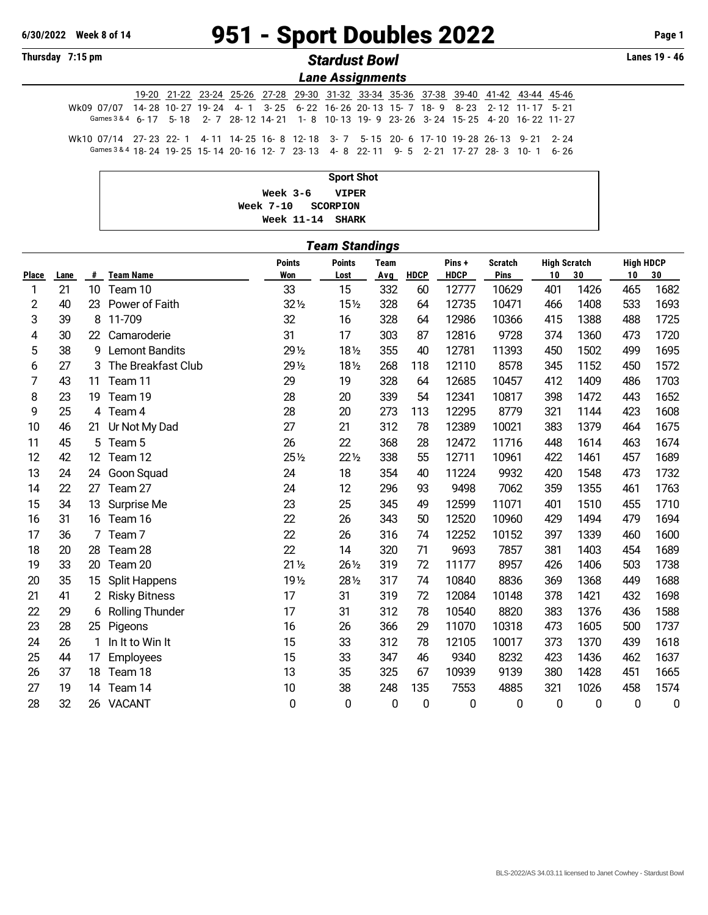## **6/30/2022 Week 8 of 14** 951 - Sport Doubles 2022 **Page 1**

|  | <b>Thursday</b> |  |  |  | 7:15 pm |
|--|-----------------|--|--|--|---------|
|--|-----------------|--|--|--|---------|

## **Thursday 7:15 pm** *Stardust Bowl* **Lanes 19 - 46**

*Lane Assignments*

|                                                                                        |  |  |  | 19-20 21-22 23-24 25-26 27-28 29-30 31-32 33-34 35-36 37-38 39-40 41-42 43-44 45-46 |  |  |  |  |
|----------------------------------------------------------------------------------------|--|--|--|-------------------------------------------------------------------------------------|--|--|--|--|
| Wk09 07/07 14-28 10-27 19-24 4-1 3-25 6-22 16-26 20-13 15-7 18-9 8-23 2-12 11-17 5-21  |  |  |  |                                                                                     |  |  |  |  |
| Games 3 & 4 6-17 5-18 2-7 28-12 14-21 1-8 10-13 19-9 23-26 3-24 15-25 4-20 16-22 11-27 |  |  |  |                                                                                     |  |  |  |  |
| Wk10 07/14 27-23 22-1 4-11 14-25 16-8 12-18 3-7 5-15 20-6 17-10 19-28 26-13 9-21 2-24  |  |  |  |                                                                                     |  |  |  |  |
| Games 3 & 4 18-24 19-25 15-14 20-16 12-7 23-13 4-8 22-11 9-5 2-21 17-27 28-3 10-1 6-26 |  |  |  |                                                                                     |  |  |  |  |

| <b>Sport Shot</b>  |  |
|--------------------|--|
| Week 3-6 VIPER     |  |
| Week 7-10 SCORPION |  |
| Week 11-14 SHARK   |  |

|              | ownaniyo |                 |                        |                             |                       |                    |             |                      |                        |                           |      |                        |      |
|--------------|----------|-----------------|------------------------|-----------------------------|-----------------------|--------------------|-------------|----------------------|------------------------|---------------------------|------|------------------------|------|
| <b>Place</b> | Lane     | #               | <b>Team Name</b>       | <b>Points</b><br><b>Won</b> | <b>Points</b><br>Lost | <b>Team</b><br>Avg | <b>HDCP</b> | Pins+<br><b>HDCP</b> | <b>Scratch</b><br>Pins | <b>High Scratch</b><br>10 | 30   | <b>High HDCP</b><br>10 | 30   |
| 1            | 21       | 10 <sup>°</sup> | Team 10                | 33                          | 15                    | 332                | 60          | 12777                | 10629                  | 401                       | 1426 | 465                    | 1682 |
| 2            | 40       | 23              | Power of Faith         | 32 1/2                      | 15 <sub>2</sub>       | 328                | 64          | 12735                | 10471                  | 466                       | 1408 | 533                    | 1693 |
| 3            | 39       | 8               | 11-709                 | 32                          | 16                    | 328                | 64          | 12986                | 10366                  | 415                       | 1388 | 488                    | 1725 |
| 4            | 30       | 22              | Camaroderie            | 31                          | 17                    | 303                | 87          | 12816                | 9728                   | 374                       | 1360 | 473                    | 1720 |
| 5            | 38       | 9               | <b>Lemont Bandits</b>  | 29 1/2                      | 181/2                 | 355                | 40          | 12781                | 11393                  | 450                       | 1502 | 499                    | 1695 |
| 6            | 27       | 3               | The Breakfast Club     | 29 1/2                      | 181/2                 | 268                | 118         | 12110                | 8578                   | 345                       | 1152 | 450                    | 1572 |
| 7            | 43       | 11              | Team 11                | 29                          | 19                    | 328                | 64          | 12685                | 10457                  | 412                       | 1409 | 486                    | 1703 |
| 8            | 23       | 19              | Team 19                | 28                          | 20                    | 339                | 54          | 12341                | 10817                  | 398                       | 1472 | 443                    | 1652 |
| 9            | 25       |                 | 4 Team 4               | 28                          | 20                    | 273                | 113         | 12295                | 8779                   | 321                       | 1144 | 423                    | 1608 |
| 10           | 46       | 21              | Ur Not My Dad          | 27                          | 21                    | 312                | 78          | 12389                | 10021                  | 383                       | 1379 | 464                    | 1675 |
| 11           | 45       |                 | 5 Team 5               | 26                          | 22                    | 368                | 28          | 12472                | 11716                  | 448                       | 1614 | 463                    | 1674 |
| 12           | 42       | 12 <sup>2</sup> | Team 12                | 25 1/2                      | $22\frac{1}{2}$       | 338                | 55          | 12711                | 10961                  | 422                       | 1461 | 457                    | 1689 |
| 13           | 24       | 24              | Goon Squad             | 24                          | 18                    | 354                | 40          | 11224                | 9932                   | 420                       | 1548 | 473                    | 1732 |
| 14           | 22       | 27              | Team 27                | 24                          | 12                    | 296                | 93          | 9498                 | 7062                   | 359                       | 1355 | 461                    | 1763 |
| 15           | 34       | 13              | Surprise Me            | 23                          | 25                    | 345                | 49          | 12599                | 11071                  | 401                       | 1510 | 455                    | 1710 |
| 16           | 31       | 16              | Team 16                | 22                          | 26                    | 343                | 50          | 12520                | 10960                  | 429                       | 1494 | 479                    | 1694 |
| 17           | 36       |                 | Team <sub>7</sub>      | 22                          | 26                    | 316                | 74          | 12252                | 10152                  | 397                       | 1339 | 460                    | 1600 |
| 18           | 20       | 28              | Team 28                | 22                          | 14                    | 320                | 71          | 9693                 | 7857                   | 381                       | 1403 | 454                    | 1689 |
| 19           | 33       | 20              | Team 20                | $21\frac{1}{2}$             | 26 1/2                | 319                | 72          | 11177                | 8957                   | 426                       | 1406 | 503                    | 1738 |
| 20           | 35       | 15              | Split Happens          | 19 1/2                      | 28 1/2                | 317                | 74          | 10840                | 8836                   | 369                       | 1368 | 449                    | 1688 |
| 21           | 41       | 2               | <b>Risky Bitness</b>   | 17                          | 31                    | 319                | 72          | 12084                | 10148                  | 378                       | 1421 | 432                    | 1698 |
| 22           | 29       | 6               | <b>Rolling Thunder</b> | 17                          | 31                    | 312                | 78          | 10540                | 8820                   | 383                       | 1376 | 436                    | 1588 |
| 23           | 28       | 25              | Pigeons                | 16                          | 26                    | 366                | 29          | 11070                | 10318                  | 473                       | 1605 | 500                    | 1737 |
| 24           | 26       | 1               | In It to Win It        | 15                          | 33                    | 312                | 78          | 12105                | 10017                  | 373                       | 1370 | 439                    | 1618 |
| 25           | 44       | 17              | Employees              | 15                          | 33                    | 347                | 46          | 9340                 | 8232                   | 423                       | 1436 | 462                    | 1637 |
| 26           | 37       | 18              | Team 18                | 13                          | 35                    | 325                | 67          | 10939                | 9139                   | 380                       | 1428 | 451                    | 1665 |
| 27           | 19       | 14              | Team 14                | 10                          | 38                    | 248                | 135         | 7553                 | 4885                   | 321                       | 1026 | 458                    | 1574 |
| 28           | 32       |                 | 26 VACANT              | 0                           | 0                     | $\mathbf 0$        | 0           | 0                    | 0                      | 0                         | 0    | $\mathbf 0$            | 0    |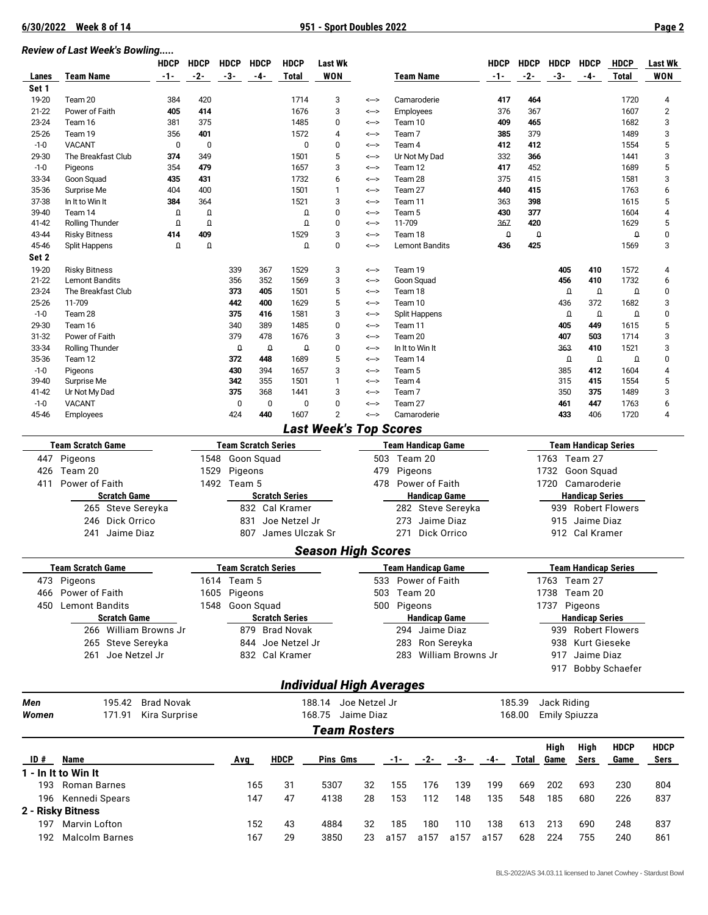## *Review of Last Week's Bowling.....*

|                    |                                               | <b>HDCP</b>       | <b>HDCP</b>          | <b>HDCP</b>                | <b>HDCP</b> | <b>HDCP</b>           | Last Wk                         |              |                  |                           |                       | <b>HDCP</b> | <b>HDCP</b> | <b>HDCP</b> | <b>HDCP</b>                 | HDCP                  | <b>Last Wk</b> |
|--------------------|-----------------------------------------------|-------------------|----------------------|----------------------------|-------------|-----------------------|---------------------------------|--------------|------------------|---------------------------|-----------------------|-------------|-------------|-------------|-----------------------------|-----------------------|----------------|
| Lanes              | <b>Team Name</b>                              | -1-               | $-2-$                | -3-                        | -4-         | Total                 | WON                             |              |                  | <b>Team Name</b>          |                       | $-1-$       | $-2-$       | $-3-$       | -4-                         | <b>Total</b>          | <b>WON</b>     |
| Set 1              |                                               |                   |                      |                            |             |                       |                                 |              |                  |                           |                       |             |             |             |                             |                       |                |
| 19-20              | Team 20                                       | 384               | 420                  |                            |             | 1714                  | 3                               | <-->         |                  | Camaroderie               |                       | 417         | 464         |             |                             | 1720                  | 4              |
| $21 - 22$          | Power of Faith                                | 405               | 414                  |                            |             | 1676                  | 3                               | <-->         |                  | Employees                 |                       | 376         | 367         |             |                             | 1607                  | $\overline{2}$ |
| 23-24              | Team 16                                       | 381               | 375                  |                            |             | 1485                  | 0                               | <-->         |                  | Team 10                   |                       |             | 465         |             |                             | 1682                  | 3              |
| 25-26              | Team 19                                       | 356               | 401                  |                            |             | 1572                  | 4                               | <-->         |                  | Team <sub>7</sub>         |                       |             | 379         |             |                             | 1489                  | 3              |
| $-1-0$             | <b>VACANT</b>                                 | 0                 | $\mathbf 0$          |                            |             | 0                     | 0                               | <-->         | Team 4           |                           |                       | 412         | 412         |             |                             | 1554                  | 5              |
| 29-30              | The Breakfast Club                            | 374               | 349                  |                            |             | 1501                  | 5                               | <-->         |                  | Ur Not My Dad             |                       | 332         | 366         |             |                             | 1441                  | 3              |
| $-1-0$             | Pigeons                                       | 354               | 479                  |                            |             | 1657                  | 3                               | <-->         | Team 12          |                           |                       | 417         | 452         |             |                             | 1689                  | 5              |
| 33-34              | Goon Squad                                    | 435               | 431                  |                            |             | 1732                  | 6                               | <-->         | Team 28          |                           |                       | 375         | 415         |             |                             | 1581                  | 3              |
| 35-36              | Surprise Me                                   | 404               | 400                  |                            |             | 1501                  | $\mathbf{1}$                    | <-->         | Team 27          |                           |                       | 440         | 415         |             |                             | 1763                  | 6              |
| 37-38              | In It to Win It                               | 384               | 364                  |                            |             | 1521                  | 3                               | <-->         | Team 11          |                           |                       | 363         | 398         |             |                             | 1615                  | 5              |
| 39-40<br>41-42     | Team 14                                       | O<br>$\Omega$     | $\Omega$<br>$\Omega$ |                            |             | $\Omega$<br>$\Omega$  | $\mathbf 0$<br>$\mathbf 0$      | <-->         | Team 5<br>11-709 |                           |                       | 430<br>367  | 377<br>420  |             |                             | 1604<br>1629          | 4<br>5         |
| 43-44              | Rolling Thunder                               | 414               | 409                  |                            |             | 1529                  | 3                               | <--><br><--> | Team 18          |                           |                       | O           | $\Omega$    |             |                             | $\Omega$              | $\pmb{0}$      |
| 45-46              | <b>Risky Bitness</b><br>Split Happens         | $\Omega$          | $\Omega$             |                            |             | $\Omega$              | $\mathbf 0$                     | <-->         |                  | <b>Lemont Bandits</b>     |                       | 436         | 425         |             |                             | 1569                  | 3              |
| Set 2              |                                               |                   |                      |                            |             |                       |                                 |              |                  |                           |                       |             |             |             |                             |                       |                |
|                    |                                               |                   |                      |                            |             |                       |                                 |              |                  |                           |                       |             |             |             |                             |                       |                |
| 19-20<br>$21 - 22$ | <b>Risky Bitness</b><br><b>Lemont Bandits</b> |                   |                      | 339<br>356                 | 367<br>352  | 1529<br>1569          | 3<br>3                          | <--><br><--> | Team 19          | Goon Squad                |                       |             |             | 405<br>456  | 410<br>410                  | 1572<br>1732          | 4<br>6         |
| 23-24              | The Breakfast Club                            |                   |                      | 373                        | 405         | 1501                  | 5                               | <-->         | Team 18          |                           |                       |             |             |             | $\Omega$<br>$\Omega$        | $\Omega$              | $\mathbf{0}$   |
| 25-26              | 11-709                                        |                   |                      | 442                        | 400         | 1629                  | 5                               | <-->         | Team 10          |                           |                       |             |             | 436         | 372                         | 1682                  | 3              |
| $-1-0$             | Team 28                                       |                   |                      | 375                        | 416         | 1581                  | 3                               | <-->         |                  | <b>Split Happens</b>      |                       |             |             |             | $\Omega$<br>$\Omega$        | $\Omega$              | $\pmb{0}$      |
| 29-30              | Team 16                                       |                   |                      | 340                        | 389         | 1485                  | 0                               | <-->         | Team 11          |                           |                       |             |             | 405         | 449                         | 1615                  | 5              |
| 31-32              | Power of Faith                                |                   |                      | 379                        | 478         | 1676                  | 3                               | <-->         | Team 20          |                           |                       |             |             | 407         | 503                         | 1714                  | 3              |
| 33-34              | <b>Rolling Thunder</b>                        |                   |                      | $\Omega$                   | $\Omega$    | $\Omega$              | $\mathbf 0$                     | <-->         |                  | In It to Win It           |                       |             |             | 363         | 410                         | 1521                  | 3              |
| 35-36              | Team 12                                       |                   |                      | 372                        | 448         | 1689                  | 5                               | <-->         | Team 14          |                           |                       |             |             |             | $\Omega$<br>$\Omega$        | $\Omega$              | $\pmb{0}$      |
| $-1-0$             | Pigeons                                       |                   |                      | 430                        | 394         | 1657                  | 3                               | <-->         | Team 5           |                           |                       |             |             | 385         | 412                         | 1604                  | 4              |
| 39-40              | Surprise Me                                   |                   |                      | 342                        | 355         | 1501                  | $\mathbf{1}$                    | <-->         | Team 4           |                           |                       |             |             | 315         | 415                         | 1554                  | 5              |
| 41-42              | Ur Not My Dad                                 |                   |                      | 375                        | 368         | 1441                  | 3                               | <-->         | Team 7           |                           |                       |             |             | 350         | 375                         | 1489                  | 3              |
| $-1-0$             | <b>VACANT</b>                                 |                   |                      | 0                          | 0           | 0                     | 0                               | <-->         | Team 27          |                           |                       |             |             | 461         | 447                         | 1763                  | 6              |
| 45-46              | Employees                                     |                   |                      | 424                        | 440         | 1607                  | $\overline{2}$                  | <-->         |                  | Camaroderie               |                       |             |             | 433         | 406                         | 1720                  | 4              |
|                    |                                               |                   |                      |                            |             |                       | <b>Last Week's Top Scores</b>   |              |                  |                           |                       |             |             |             |                             |                       |                |
|                    |                                               |                   |                      |                            |             |                       |                                 |              |                  |                           |                       |             |             |             |                             |                       |                |
|                    | <b>Team Scratch Game</b>                      |                   |                      | <b>Team Scratch Series</b> |             |                       |                                 |              |                  | <b>Team Handicap Game</b> |                       |             |             |             | <b>Team Handicap Series</b> |                       |                |
|                    | 447 Pigeons                                   |                   | 1548                 | Goon Squad                 |             |                       |                                 |              |                  | 503 Team 20               |                       |             |             |             | 1763 Team 27                |                       |                |
| 426                | Team 20                                       |                   | 1529                 | Pigeons                    |             |                       |                                 | 479          |                  | Pigeons                   |                       |             |             | 1732        | Goon Squad                  |                       |                |
| 411                | Power of Faith                                |                   |                      | 1492 Team 5                |             |                       |                                 | 478          |                  | Power of Faith            |                       |             |             |             | 1720 Camaroderie            |                       |                |
|                    | <b>Scratch Game</b>                           |                   |                      |                            |             | <b>Scratch Series</b> |                                 |              |                  | <b>Handicap Game</b>      |                       |             |             |             | <b>Handicap Series</b>      |                       |                |
|                    | 265 Steve Sereyka                             |                   |                      |                            |             | 832 Cal Kramer        |                                 |              |                  |                           | 282 Steve Sereyka     |             |             | 939         |                             | <b>Robert Flowers</b> |                |
|                    | 246 Dick Orrico                               |                   |                      | 831                        |             | Joe Netzel Jr         |                                 |              | 273              |                           | Jaime Diaz            |             |             | 915         | Jaime Diaz                  |                       |                |
|                    | 241 Jaime Diaz                                |                   |                      |                            |             | 807 James Ulczak Sr   |                                 |              | 271              |                           | Dick Orrico           |             |             |             | 912 Cal Kramer              |                       |                |
|                    |                                               |                   |                      |                            |             |                       |                                 |              |                  |                           |                       |             |             |             |                             |                       |                |
|                    |                                               |                   |                      |                            |             |                       | <b>Season High Scores</b>       |              |                  |                           |                       |             |             |             |                             |                       |                |
|                    | <b>Team Scratch Game</b>                      |                   |                      | <b>Team Scratch Series</b> |             |                       |                                 |              |                  | <b>Team Handicap Game</b> |                       |             |             |             | <b>Team Handicap Series</b> |                       |                |
|                    | 473 Pigeons                                   |                   |                      | 1614 Team 5                |             |                       |                                 |              |                  | 533 Power of Faith        |                       |             |             |             | 1763 Team 27                |                       |                |
|                    | 466 Power of Faith                            |                   |                      | 1605 Pigeons               |             |                       |                                 |              |                  | 503 Team 20               |                       |             |             |             | 1738 Team 20                |                       |                |
|                    | 450 Lemont Bandits                            |                   |                      | 1548 Goon Squad            |             |                       |                                 |              | 500 Pigeons      |                           |                       |             |             |             | 1737 Pigeons                |                       |                |
|                    | <b>Scratch Game</b>                           |                   |                      |                            |             | <b>Scratch Series</b> |                                 |              |                  | <b>Handicap Game</b>      |                       |             |             |             | <b>Handicap Series</b>      |                       |                |
|                    | 266 William Browns Jr                         |                   |                      |                            |             | 879 Brad Novak        |                                 |              |                  | 294 Jaime Diaz            |                       |             |             |             |                             | 939 Robert Flowers    |                |
|                    |                                               |                   |                      |                            |             | 844 Joe Netzel Jr     |                                 |              |                  |                           |                       |             |             |             | Kurt Gieseke                |                       |                |
|                    | 265 Steve Sereyka                             |                   |                      |                            |             |                       |                                 |              |                  |                           | 283 Ron Sereyka       |             |             | 938         |                             |                       |                |
|                    | 261 Joe Netzel Jr                             |                   |                      |                            |             | 832 Cal Kramer        |                                 |              |                  |                           | 283 William Browns Jr |             |             | 917         | Jaime Diaz                  |                       |                |
|                    |                                               |                   |                      |                            |             |                       |                                 |              |                  |                           |                       |             |             |             |                             | 917 Bobby Schaefer    |                |
|                    |                                               |                   |                      |                            |             |                       | <b>Individual High Averages</b> |              |                  |                           |                       |             |             |             |                             |                       |                |
|                    |                                               |                   |                      |                            |             |                       |                                 |              |                  |                           |                       |             |             |             |                             |                       |                |
| Men                | 195.42                                        | <b>Brad Novak</b> |                      |                            |             |                       | 188.14 Joe Netzel Jr            |              |                  |                           |                       |             | 185.39      | Jack Riding |                             |                       |                |
| Women              | 171.91                                        | Kira Surprise     |                      |                            |             |                       | 168.75 Jaime Diaz               |              |                  |                           |                       |             | 168.00      |             | <b>Emily Spiuzza</b>        |                       |                |
|                    |                                               |                   |                      |                            |             |                       | <b>Team Rosters</b>             |              |                  |                           |                       |             |             |             |                             |                       |                |
|                    |                                               |                   |                      |                            |             |                       |                                 |              |                  |                           |                       |             |             | <b>High</b> | High                        | <b>HDCP</b>           | <b>HDCP</b>    |
| ID#                | Name                                          |                   |                      | Avg                        |             | <b>HDCP</b>           | Pins Gms                        |              | $-1-$            | $-2-$                     | -3-                   | -4-         | Total       | Game        | Sers                        | Game                  | Sers           |
|                    |                                               |                   |                      |                            |             |                       |                                 |              |                  |                           |                       |             |             |             |                             |                       |                |
|                    | 1 - In It to Win It                           |                   |                      |                            |             |                       |                                 |              |                  |                           |                       |             |             |             |                             |                       |                |
|                    | 193 Roman Barnes                              |                   |                      |                            | 165         | 31                    | 5307                            | 32           | 155              | 176                       | 139                   | 199         | 669         | 202         | 693                         | 230                   | 804            |
|                    | 196 Kennedi Spears                            |                   |                      |                            | 147         | 47                    | 4138                            | 28           | 153              | 112                       | 148                   | 135         | 548         | 185         | 680                         | 226                   | 837            |
|                    | 2 - Risky Bitness                             |                   |                      |                            |             |                       |                                 |              |                  |                           |                       |             |             |             |                             |                       |                |
|                    | 197 Marvin Lofton                             |                   |                      |                            | 152         | 43                    | 4884                            | 32           | 185              | 180                       | 110                   | 138         | 613         | 213         | 690                         | 248                   | 837            |
| 192                | <b>Malcolm Barnes</b>                         |                   |                      |                            | 167         | 29                    | 3850                            | 23           | a157             | a157                      | a157                  | a157        | 628         | 224         | 755                         | 240                   | 861            |
|                    |                                               |                   |                      |                            |             |                       |                                 |              |                  |                           |                       |             |             |             |                             |                       |                |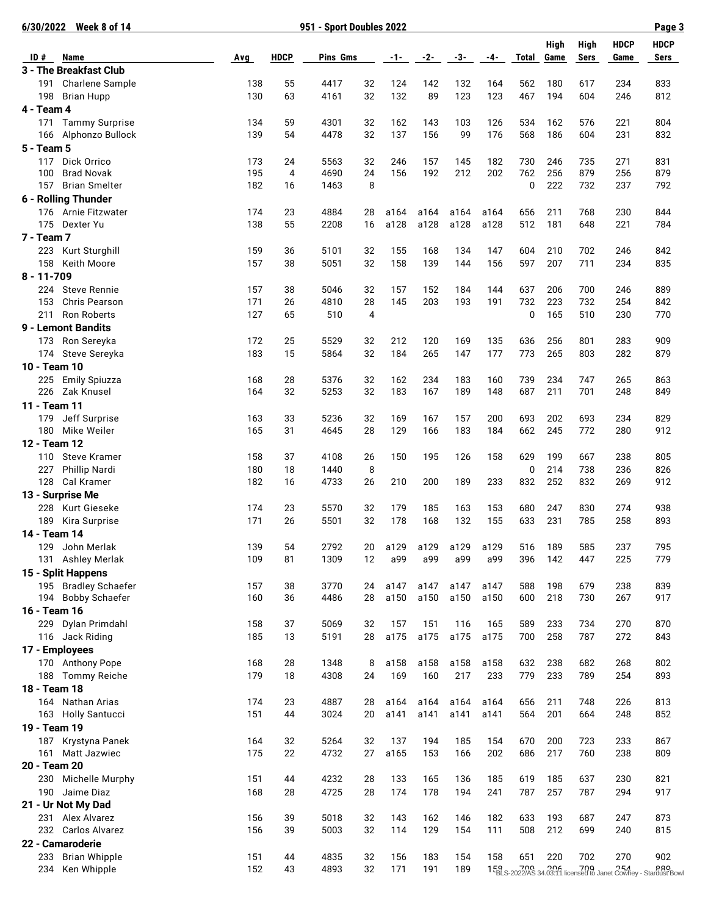| 6/30/2022 Week 8 of 14                                   | 951 - Sport Doubles 2022 |             |             |                |              |              |              |              |            |            |            |             | Page 3                                                        |  |  |
|----------------------------------------------------------|--------------------------|-------------|-------------|----------------|--------------|--------------|--------------|--------------|------------|------------|------------|-------------|---------------------------------------------------------------|--|--|
|                                                          |                          |             |             |                |              |              |              |              |            | High       | High       | <b>HDCP</b> | <b>HDCP</b>                                                   |  |  |
| ID#<br>Name                                              | Avg                      | <b>HDCP</b> | Pins Gms    |                | $-1$ – $-$   | $-2-$        | $-3-$        | -4-          | Total      | Game       | Sers       | Game        | Sers                                                          |  |  |
| 3 - The Breakfast Club<br>Charlene Sample<br>191         | 138                      | 55          | 4417        | 32             | 124          | 142          | 132          | 164          | 562        | 180        | 617        | 234         | 833                                                           |  |  |
| 198<br><b>Brian Hupp</b>                                 | 130                      | 63          | 4161        | 32             | 132          | 89           | 123          | 123          | 467        | 194        | 604        | 246         | 812                                                           |  |  |
| 4 - Team 4                                               |                          |             |             |                |              |              |              |              |            |            |            |             |                                                               |  |  |
| 171<br><b>Tammy Surprise</b>                             | 134                      | 59          | 4301        | 32             | 162          | 143          | 103          | 126          | 534        | 162        | 576        | 221         | 804                                                           |  |  |
| Alphonzo Bullock<br>166                                  | 139                      | 54          | 4478        | 32             | 137          | 156          | 99           | 176          | 568        | 186        | 604        | 231         | 832                                                           |  |  |
| 5 - Team 5                                               |                          |             |             |                |              |              |              |              |            |            |            |             |                                                               |  |  |
| Dick Orrico<br>117                                       | 173                      | 24          | 5563        | 32             | 246          | 157          | 145          | 182          | 730        | 246        | 735        | 271         | 831                                                           |  |  |
| 100<br><b>Brad Novak</b>                                 | 195                      | 4           | 4690        | 24             | 156          | 192          | 212          | 202          | 762        | 256        | 879        | 256         | 879                                                           |  |  |
| 157<br><b>Brian Smelter</b>                              | 182                      | 16          | 1463        | 8              |              |              |              |              | 0          | 222        | 732        | 237         | 792                                                           |  |  |
| 6 - Rolling Thunder                                      |                          |             |             |                |              |              |              |              |            |            |            |             |                                                               |  |  |
| 176 Arnie Fitzwater                                      | 174                      | 23          | 4884        | 28             | a164         | a164         | a164         | a164         | 656        | 211        | 768        | 230         | 844                                                           |  |  |
| Dexter Yu<br>175                                         | 138                      | 55          | 2208        | 16             | a128         | a128         | a128         | a128         | 512        | 181        | 648        | 221         | 784                                                           |  |  |
| 7 - Team 7                                               |                          |             |             |                |              |              |              |              |            |            |            |             |                                                               |  |  |
| 223<br>Kurt Sturghill                                    | 159                      | 36          | 5101        | 32             | 155          | 168          | 134          | 147          | 604        | 210        | 702        | 246         | 842                                                           |  |  |
| 158<br>Keith Moore                                       | 157                      | 38          | 5051        | 32             | 158          | 139          | 144          | 156          | 597        | 207        | 711        | 234         | 835                                                           |  |  |
| $8 - 11 - 709$                                           |                          |             |             |                |              |              |              |              |            |            |            |             |                                                               |  |  |
| <b>Steve Rennie</b><br>224                               | 157<br>171               | 38<br>26    | 5046        | 32<br>28       | 157<br>145   | 152<br>203   | 184<br>193   | 144          | 637<br>732 | 206<br>223 | 700<br>732 | 246<br>254  | 889<br>842                                                    |  |  |
| 153<br><b>Chris Pearson</b><br><b>Ron Roberts</b><br>211 | 127                      | 65          | 4810<br>510 | $\overline{4}$ |              |              |              | 191          | 0          | 165        | 510        | 230         |                                                               |  |  |
| 9 - Lemont Bandits                                       |                          |             |             |                |              |              |              |              |            |            |            |             | 770                                                           |  |  |
| Ron Sereyka<br>173                                       | 172                      | 25          | 5529        | 32             | 212          | 120          | 169          | 135          | 636        | 256        | 801        | 283         | 909                                                           |  |  |
| Steve Sereyka<br>174                                     | 183                      | 15          | 5864        | 32             | 184          | 265          | 147          | 177          | 773        | 265        | 803        | 282         | 879                                                           |  |  |
| 10 - Team 10                                             |                          |             |             |                |              |              |              |              |            |            |            |             |                                                               |  |  |
| 225 Emily Spiuzza                                        | 168                      | 28          | 5376        | 32             | 162          | 234          | 183          | 160          | 739        | 234        | 747        | 265         | 863                                                           |  |  |
| 226<br>Zak Knusel                                        | 164                      | 32          | 5253        | 32             | 183          | 167          | 189          | 148          | 687        | 211        | 701        | 248         | 849                                                           |  |  |
| 11 - Team 11                                             |                          |             |             |                |              |              |              |              |            |            |            |             |                                                               |  |  |
| Jeff Surprise<br>179                                     | 163                      | 33          | 5236        | 32             | 169          | 167          | 157          | 200          | 693        | 202        | 693        | 234         | 829                                                           |  |  |
| 180<br>Mike Weiler                                       | 165                      | 31          | 4645        | 28             | 129          | 166          | 183          | 184          | 662        | 245        | 772        | 280         | 912                                                           |  |  |
| 12 - Team 12                                             |                          |             |             |                |              |              |              |              |            |            |            |             |                                                               |  |  |
| <b>Steve Kramer</b><br>110                               | 158                      | 37          | 4108        | 26             | 150          | 195          | 126          | 158          | 629        | 199        | 667        | 238         | 805                                                           |  |  |
| Phillip Nardi<br>227                                     | 180                      | 18          | 1440        | 8              |              |              |              |              | 0          | 214        | 738        | 236         | 826                                                           |  |  |
| 128<br>Cal Kramer                                        | 182                      | 16          | 4733        | 26             | 210          | 200          | 189          | 233          | 832        | 252        | 832        | 269         | 912                                                           |  |  |
| 13 - Surprise Me                                         |                          |             |             |                |              |              |              |              |            |            |            |             |                                                               |  |  |
| 228<br>Kurt Gieseke                                      | 174                      | 23          | 5570        | 32             | 179          | 185          | 163          | 153          | 680        | 247        | 830        | 274         | 938                                                           |  |  |
| 189<br>Kira Surprise                                     | 171                      | 26          | 5501        | 32             | 178          | 168          | 132          | 155          | 633        | 231        | 785        | 258         | 893                                                           |  |  |
| 14 - Team 14                                             |                          |             |             |                |              |              |              |              |            |            |            |             |                                                               |  |  |
| John Merlak<br>129                                       | 139                      | 54          | 2792        | 20             | a129         | a129         | a129         | a129         | 516        | 189        | 585        | 237         | 795                                                           |  |  |
| 131<br>Ashley Merlak                                     | 109                      | 81          | 1309        | 12             | a99          | a99          | a99          | a99          | 396        | 142        | 447        | 225         | 779                                                           |  |  |
| 15 - Split Happens                                       | 157                      |             | 3770        |                |              |              |              |              | 588        | 198        |            | 238         | 839                                                           |  |  |
| 195 Bradley Schaefer<br><b>Bobby Schaefer</b><br>194     | 160                      | 38<br>36    | 4486        | 24<br>28       | a147<br>a150 | a147<br>a150 | a147<br>a150 | a147<br>a150 | 600        | 218        | 679<br>730 | 267         | 917                                                           |  |  |
| 16 - Team 16                                             |                          |             |             |                |              |              |              |              |            |            |            |             |                                                               |  |  |
| 229<br>Dylan Primdahl                                    | 158                      | 37          | 5069        | 32             | 157          | 151          | 116          | 165          | 589        | 233        | 734        | 270         | 870                                                           |  |  |
| 116 Jack Riding                                          | 185                      | 13          | 5191        | 28             | a175         | a175         | a175         | a175         | 700        | 258        | 787        | 272         | 843                                                           |  |  |
| 17 - Employees                                           |                          |             |             |                |              |              |              |              |            |            |            |             |                                                               |  |  |
| 170 Anthony Pope                                         | 168                      | 28          | 1348        | 8              | a158         | a158         | a158         | a158         | 632        | 238        | 682        | 268         | 802                                                           |  |  |
| 188 Tommy Reiche                                         | 179                      | 18          | 4308        | 24             | 169          | 160          | 217          | 233          | 779        | 233        | 789        | 254         | 893                                                           |  |  |
| 18 - Team 18                                             |                          |             |             |                |              |              |              |              |            |            |            |             |                                                               |  |  |
| 164 Nathan Arias                                         | 174                      | 23          | 4887        | 28             | a164         | a164         | a164         | a164         | 656        | 211        | 748        | 226         | 813                                                           |  |  |
| 163 Holly Santucci                                       | 151                      | 44          | 3024        | 20             | a141         | a141         | a141         | a141         | 564        | 201        | 664        | 248         | 852                                                           |  |  |
| 19 - Team 19                                             |                          |             |             |                |              |              |              |              |            |            |            |             |                                                               |  |  |
| Krystyna Panek<br>187                                    | 164                      | 32          | 5264        | 32             | 137          | 194          | 185          | 154          | 670        | 200        | 723        | 233         | 867                                                           |  |  |
| 161<br>Matt Jazwiec                                      | 175                      | 22          | 4732        | 27             | a165         | 153          | 166          | 202          | 686        | 217        | 760        | 238         | 809                                                           |  |  |
| 20 - Team 20                                             |                          |             |             |                |              |              |              |              |            |            |            |             |                                                               |  |  |
| 230 Michelle Murphy                                      | 151                      | 44          | 4232        | 28             | 133          | 165          | 136          | 185          | 619        | 185        | 637        | 230         | 821                                                           |  |  |
| 190<br>Jaime Diaz                                        | 168                      | 28          | 4725        | 28             | 174          | 178          | 194          | 241          | 787        | 257        | 787        | 294         | 917                                                           |  |  |
| 21 - Ur Not My Dad                                       |                          |             |             |                |              |              |              |              |            |            |            |             |                                                               |  |  |
| Alex Alvarez<br>231                                      | 156                      | 39          | 5018        | 32             | 143          | 162          | 146          | 182          | 633        | 193        | 687        | 247         | 873                                                           |  |  |
| 232<br>Carlos Alvarez                                    | 156                      | 39          | 5003        | 32             | 114          | 129          | 154          | 111          | 508        | 212        | 699        | 240         | 815                                                           |  |  |
| 22 - Camaroderie                                         |                          |             |             |                |              |              |              |              |            |            |            |             |                                                               |  |  |
| <b>Brian Whipple</b><br>233                              | 151                      | 44          | 4835        | 32             | 156          | 183          | 154          | 158          | 651        | 220        | 702        | 270         | 902                                                           |  |  |
| 234<br>Ken Whipple                                       | 152                      | 43          | 4893        | 32             | 171          | 191          | 189          |              |            |            |            |             | 150 2022/AS 34.03:11 licensed to Janet Cowney - Stardust Bowl |  |  |